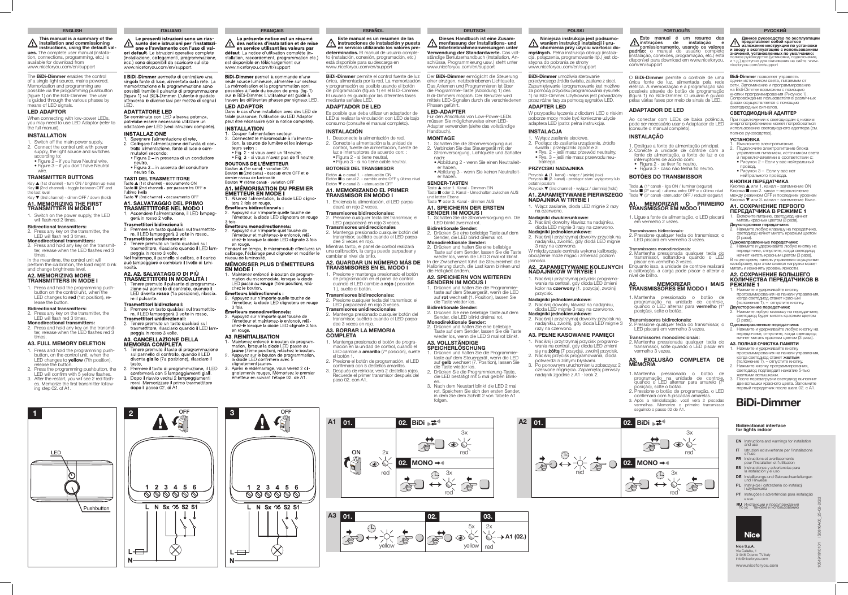#### ENGLISH ITALIANO FRANÇAIS ESPAÑOL DEUTSCH POLSKI **РУССКИЙ**

This manual is a summary of the  $\bigwedge$  inis manual is a summary instructions, using the default valvies. The complete user manual (installa-<br>tion, connections, programming, etc.) is available for download from www.niceforyou.com/en/support

- EN Instructions and warnings for installation and use
- **IT** Istruzioni ed avvertenze per l'installazione e l'uso
- FR Instructions et avertissements pour l'installation et l'utilisation
- 
- ES Instrucciones y advertencias para la instalación y el uso
- DE Installierungs-und Gebrauchsanleitungen und Hinweise
- PL Instrukcje i ostrzeżenia do instalacji i użytkowania
- PT Instruções e advertências para instalação e uso
- RU Инструкции и предупреждения по ус тановке и использованию



The **BiDi-Dimmer** enables the control of a single light source, mains powered. Memorization and programming are possible via the programming pushbutton (figure 1) on the BiDi‑Dimmer. The user is guided through the various phases by means of LED signals.

# BiDi‑Dimmer

# Bidirectional interface for lights indoor

Key ▲ (1st channel) - turn ON / brighten up (hold)<br>Key ■ (2nd channel) - toggle between OFF and the last level

> www.niceforyou.com Nice S.p.A. Via Callalta, 1 31046 Oderzo TV Italy info@niceforyou.com

#### Key ▼ (3rd channel) - dimm OFF / down (hold) A1. MEMORIZING THE FIRST TRANSMITTER IN MODE I

1. Press and hold the programming pushbutton on the control unit, when the LED changes to red (1st position), release the button.

#### LED ADAPTOR

When connecting with low‑power LEDs, you may need to use LED Adaptor (refer to the full manual).

## INSTALLATION

- 1. Switch off the main power supply. 2. Connect the control unit with power supply, the light source and switches according to:
- Figure 2 if you have Neutral wire, • Figure 3 – if you don't have Neutral wire.

- 1. Press and hold the programming pushbutton, on the control unit, when the LED changes to **yellow** (7th position), release the button.
- 2. Press the programming pushbutton, the LED will confirm with 5 yellow flashes. 3. After the restart, you will see 2 red flash-
- es. Memorize the first transmitter following step 02. of A1.

LED

Le presenti istruzioni sono un riassunto delle istruzioni per l'installazione e l'avviamento con l'uso di valori default. Le istruzioni operative complete<br>(installazione, collegamenti, programmazione, ècc.) sono disponibili da scaricare sul sito www.niceforyou.com/en/support

#### **Il BiDi-Dimmer** permette di controllare una singola fonte di luce, alimentata dalla rete. La memorizzazione e la programmazione sono<br>possibili tramite il pulsante di programmazione (figura 1) sul BiDi-Dimmer L'utente è guidato attraverso le diverse fasi per mezzo di segnali LED.

#### **ADATTATORE LED**

Se combinato con LED a bassa potenza,<br>potrebbe essere necessario utilizzare un adattatore per LED (vedi istruzioni complete).

#### **INSTALLAZIONE**

- 2 Collegare l'alimentazione dell'unità di conconsgare raillitionalistic and annual an conmutatori secondo:
- · Figura 2 in presenza di un conduttore neutro, • Figura 3 – in assenza del conduttore
- neutro filo. **TASTI DEL TRASMETTITORE**

Tasto A (1st channel) - oscuramento ON<br>Tasto A (1st channel) - oscuramento ON<br>Tasto III (2nd channel) - per passare tra OFF e Tasto ▼ (3rd channel) - oscuramento OFF

#### **A1. SALVATAGGIO DEL PRIMO**

- **TRASMETTITORE NEL MODO I** Accendere l'alimentazione, il LED lampeggerà in rosso 2 volte.
- Trasmettitori bidirezionali:
- 2. Premere un tasto qualsiasi sul trasmettitore, il LED lampeggerà 3 volte in rosso...
- Trasmettitori unidirezionali: Tenere premuto un tasto qualsiasi sul
- trasmettitore, rilasciarlo quando il LED lampeggia in rosso 3 volte Nel frattempo, il pannello si calibra, e il carico può lampeggiare e cambiare il livello di lumi-

## A2. A2. SALVATAGGIO DI PIÙ

TRASMETTITORI IN MODALITÀ I Tenere premuto il pulsante di programma zione sul pannello di controllo, quando il LED diventa rosso (1a posizione), rilasciare il pulsante

#### Trasmettitori bidirezionali:

1  $\begin{array}{|c|c|c|c|c|}\n\hline\n1 & 2 & \Lambda & \sqrt{2} & 3\n\end{array}$ 

上号

- 2. Premere un tasto qualsiasi sul trasmettitore, il LED lampeggerà 3 volte in rosso.
- Trasmettitori unidirezionali:<br>2. Tenere premuto un tasto qualsiasi sul trasmettitore, rilasciarlo quando il LED lampeggia in rosso 3 volte.

## **A3. CANCELLAZIONE DELLA**

- **MEMORIA COMPLETA** Tenere premuto il tasto di programmazione<br>sul pannello di controllo, quando il LED diventa giallo (7a posizione), rilasciare il tasto.
- rasto<br>Premere il tasto di programmazione, il LED<br>confermerà con 5 lampeggiamenti gialli.
- 3. Dopo il riavvio vedrai 2 lampeggiamenti<br>rossi. Memorizzare il primo trasmettitore dopo il passo 02, di A1.

1 2 3 4 5 6

**@@@@@** 

L N Sx  $\%$  S2 S1

La présente notice est un résumé des notices d'installation et de mise en service utilisant les valeurs par défaut. La notice d'utilisation complète (in stallation, raccordement, programmation etc.) est disponible en téléchargement sur www.niceforyou.com/fr/support

**BiDi-Dimmer** permet la commande d'une seule source lumineuse, alimentée sur secteur. La mémorisation et la programmation sont possibles à l'aide du bouton de prog. (fig. 1)<br>sur le BiDi-Dimmer. L'utilisateur est guidé à travers les différentes phases par signaux LED.

#### **LED ADAPTOR**

Dans le cas d'une installation avec des LED de faible puissance, l'utilisation du LED Adaptor peut être nécessaire (voir la notice complète).

## **INSTALLATION**

- Couper l'alimentation secteur 2. Connectez le micromodule à l'alimenta-<br>2. Connectez le micromodule à l'alimenta-<br>tion, la source de lumière et les interrupteurs selon
- · Fig. 2 si vous avez un fil neutre • Fig. 3 - si vous n'avez pas de fil neutre

## **BOUTONS DE L'ÉMETTEUR**

Bouton ▲ (1er canal) - variation ON<br>Bouton ■ (2nd canal) - bascule entre OFF et le ,<br>veau de luminosité

## sermer model as termineste<br>Bouton ▼ (3ème canal) - variation OFF

- **A1. MÉMORISATION DU PREMIER**
- **EMETTEUR EN MODE I**<br>1. Allumez l'alimentation, la diode LED clignotera 2 fois en rouge
- Émetteurs bidirectionnels :
- 2. Appuyez sur n'importe quelle touche de l'émetteur, la diode LED clignotera en rouge

#### Émetteurs monodirectionnels:

Appuyez sur n'importe quel touche de<br>l'émetteur et maintenez-le enfoncé, relâchez-le lorsque la diode LED clignote 3 fois en rouge. Pendant ce temps. le micromodule effectuera un

rendant de temps, le micromodale enectaera di<br>calibrage, l'éclairage peut clignoter et modifier le<br>niveau de luminosité.

#### **MÉMORISER PLUS D'ÉMETTEURS EN MODE I**

- ---<br>1 Maintenez enfoncé le bouton de programmation du micromodule, lorsque la diode LED passe au **rouge** (1ère position), relâchez le bouton.
- Émetteurs bidirectionnels :
- Appuyez sur n'importe quelle touche de metteur, la diode LED clignotera en rouge

#### Émetteurs monodirectionnels:

Appuyez sur n'importe quel touche de<br>l'émetteur et maintenez-le enfoncé, relâ-<br>chez-le lorsque la diode LED clignote 3 fois en rouge.

#### **A3. REINITIALISATION**

 $\begin{bmatrix} \begin{matrix} \begin{matrix} \mathbf{0} & \mathbf{0} & \mathbf{0} \end{matrix} & \mathbf{0} & \mathbf{0} & \mathbf{0} \end{matrix} \end{bmatrix} & \begin{bmatrix} \begin{matrix} \mathbf{0} & \mathbf{0} & \mathbf{0} & \mathbf{0} \end{matrix} & \begin{matrix} \mathbf{0} & \mathbf{0} & \mathbf{0} & \mathbf{0} \end{matrix} \\ \mathbf{0} & \mathbf{0} & \mathbf{0} & \mathbf{0} \end{bmatrix} & \begin{bmatrix} \begin{matrix} \mathbf{0} & \mathbf{0} & \mathbf{0$ 

L-<del>EB</del> N

- Maintenez enfoncé le bouton de programmation. lorsque la diode LED passe au ination, loi sque la diode EED passe au<br>**jaune** (7ème position), relâchez le bouton.<br>Appuyez sur le bouton de programmation,
- la diode LED confirmera avec 5 clignotement jaunes. 3.
- Après le redémarrage, vous verrez 2 cli-<br>gnotements rouges. Mémorisez le premier émetteur en suivant l'étape 02, de A1.

1 2 3 4 5 6

 $\mathcal{O} \mathcal{O} \mathcal{O} \mathcal{O} \mathcal{O} \mathcal{O}$ 

L N Sx  $\%$  S2 S1

#### TRANSMITTER BUTTONS

1. Switch on the power supply, the LED will flash red 2 times.

#### Bidirectional transmitters:

- 2. Press any key on the transmitter, the LED will flash red 3 times.
- Monodirectional transmitters: Press and hold any key on the transmit ter, release when the LED flashes red 3 times.

In the meantime, the control unit will perform the calibration, the load might blink and change brightness level.

#### A2. MEMORIZING MORE TRANSMITTERS IN MODE I

## Bidirectional transmitters:

- **Двухсторонние передатчики:**<br>2. Нажмите любую клавишу на передатчике,
- светодиод будет мигать красным цветом  $(3 \text{ nasa})$
- **Однонаправленные передатчики:**<br>2. Нажмите и удерживайте любую кнопку на<br>передатчике, отпустите, когда светодиод начнет мигать красным цветом (3 раза).
- 2. Press any key on the transmitter, the LED will flash red 3 times.
- Monodirectional transmitters: 2. Press and hold any key on the transmit ter, release when the LED flashes red 3 times.

# A3. FULL MEMORY DELETION

Pushbutton

BiDi-Dimmer permite el control fuente de luz única, alimentada por la red. La memorización y programación es posible usando el botón de programación (figura 1) en el BiDi‑Dimmer. El usuario es guiado por las diferentes fases mediante señales LED. ADAPTADOR DE LED

**Bidi-Dimmer** позволяет управлять одним источником света, питаемым от сети. Запоминание и программирование на Bidi-Dimmer возможны с помощью кнопки программирования (Рисунок 1). Сопровождение пользователя в различных фазах осуществляется с помощью светодиодных сигналов.

#### **СВЕТОДИОДНЫЙ АДАПТЕР**

- 1. Encienda la alimentación, el LED parpa deará en rojo 2 veces.
- Transmisores bidireccionales:
- 2. Presione cualquier tecla del transmisor, el LED parpadeará en rojo 3 veces.
- The paradoxic of region reco
- 2. Mantenga presionado cualquier botón del transmisor, suéltelo cuando el LED parpa‑ dee 3 veces en rojo.
- Mientras tanto, el panel de control realizará una calibración, la carga puede parpadear y cambiar el nivel de brillo. A2. GUARDAR UN NÚMERO MÁS DE

При подключении к светодиодам с низким энергопотреблением может потребоваться использование светодиодного адаптера (см. полное руководство).

#### **УСТАНОВКА**

- 1. Выключите электропитание. 2. Подключите электропитание блока
- управления питанием, источником света , , ,<br>и переключателями в соответствии с:
- Рисунок 2 Если у вас нейтральный провод,
- Рисунок 3 Если у вас нет нейтрального провода.
- 

**КНОПКИ ПЕРЕДАТЧИКА**<br>Кнопка ▲ или 1. канал – затемнение ON<br>Кнопка ■ или 2. канал – переключение между режимом OFF и последним уровнем кнопка • или 3. канал – затемнение Выкл.

Der **BiDi-Dimmer** ermöglicht die Steuerung<br>einer einzigen, netzbetriebenen Lichtquelle. Das Anlernen und Programmieren ist über die Programmier‑Taste (Abbildung 1) des Bidi‑Dimmers möglich. Der Benutzer wird mittels LED‑Signalen durch die verschiedenen

## **A1. СОХРАНЕНИЕ ПЕРВОГО**

1. Schalten Sie die Stromversorgung aus. 2. Verbinden Sie das Steuergerät mit der Stromversorgung, Lichtquelle und Schalter

er haben. SENDER-TASTEN

- **ПЕРЕДАТЧИКА В РЕЖИМЕ 1** Включите питание, светодиод начн
- мигать красным цветом (3 раза).
- **Двухсторонние передатчики:**<br>2. Нажмите любую клавишу на передатчике, светодиод начнет мигать красным цветом (3 раза).
- Однонаправленные передатчики: 2. Нажмите и удерживайте любую кнопку на передатчике, отпустите, когда светодиод начнет мигать красным цветом (3 раза).

Taste ▼ oder 3. Kanal - dimmen AUS A1. SPEICHERN DER ERSTEN SENDER IM MODUS I

> В то же время, панель управления осуществит калибровку, при этом символ нагрузки может мигать и изменять уровень яркости.

#### **A2. СОХРАНЕНИЕ БОЛЬШЕГО КОЛИЧЕСТВА ПЕРЕДАТЧИКОВ В РЕЖИМЕ 1**

1. Нажмите и удерживайте кнопку программирования на панели управления, когда светодиод станет красным (положение 1), – отпустите кнопку.

A3. VOLLSTÄNDIGE **SPEICHERLÖSCHUNG** 

#### **А3. ПОЛНАЯ ОЧИСТКА ПАМЯТИ**

**BiDi-Dimmer** umożliwia sterowanie<br>pojedynczego źródła światła, zasilane z sieci. Zapamiętywanie i programowanie jest możliwe za pomocą przycisku programowania (rysunek 1) na BiDi‑Dimmer. Użytkownik jest prowadzony przez różne fazy za pomocą sygnałów LED.

- 1. Нажмите и удерживайте кнопку программирования на панели управления, когда светодиод станет желтым
- (положение 7), отпустите кнопку. 2. Нажмите кнопку программирования, светодиод подтвердит нажатие 5-тью желтыми вспышками.
- 3. После перезагрузки светодиод выполнит две вспышки красного цвета. Запомните первый передатчик после шага 02. с А1.
- . Wyłącz zasilanie sieciowe
- 2. Podłącz do zasilania urządzenie, źródło
- światła i przełączniki zgodnie z: • Rys. 2 – jeśli masz przewód neutralny,
- Rys. 3 jeśli nie masz przewodu neu‑

Przycisk ▲ (1. kanał) - włącz / jaśniej (hold) Przycisk n (2. kanał) ‑ przełącz stan: wyłączony lub

ostatni poziom<br>Przycisk ▼ (3rd channel) - wyłącz / ciemniej (hold) A1. ZAPAMIĘTYWANIE PIERWSZEGO

Es posible que deba utilizar un adaptador de LED al realizar la vinculación con LED de bajo consumo (consulte el manual completo).

#### INSTALACIÓN

. Desconecte la alimentación de red. 2. Conecte la alimentación a la unidad de control, fuente de alimentación, fuente de luz e interruptores de acuerdo con: : • Figura 2 ‑ si tiene neutral, • Figura 2 – si no tiene cable neutral.

**Данное руководство по эксплуатации**  /! Представляет собой краткое<br>и вводу в эксплуатацию с использованием<br>значений, установленных по умолчанию:<br>пользованием, установленных по умолчанию:<br>и т.д.) доступно для скачивания на сайте: www.<br>niceforyou.com/en/suppor

#### BOTONES DEL TRANSMISOR

- Botón ▲ o canal 1. atenuación ON Botón ■ o canal 2 – cambio entre OFF y último nivel
- Botón ▼ o canal 3. atenuación OFF

#### Niniejsza instrukcja jest podsumo‑ waniem instrukcji instalacji i uru‑ chomienia przy użyciu wartości do‑ **myślnych.** Pełna instrukcja obsługi (instala-<br>cja, połączenia, programowanie itp.) jest do-

#### A1. MEMORIZANDO EL PRIMER TRANSMISOR EN MODO I

stepna do pobrania ze strony www.niceforyou.com/en/support

# TRANSMISORES EN EL MODO I

**A Este manual é um resumo das<br>A instruções de instalação e** instruções de instalação e comissionamento, usando os valores padrão: o manual do usuário completo (instalação, conexões, programação, etc.) está disponível para download em www.niceforyou. com/en/support

- 1. Presione y mantenga presionado el botón de programación en el panel de control cuando el LED cambie a rojo (posición 1.), suelte el botón
- Transmisores bidireccionales: 2. Presione cualquier tecla del transmisor, el
- 1. Desligue a fonte de alimentação principal. 2. Conecte a unidade de controle com a fonte de alimentação, a fonte de luz e os interruptores de acordo com:
- 
- Figura 2 se tiver fio neutro,<br>• Figura 2 se tiver fio neutro,<br>• Figura 3 caso não tenha fio neutro.

LED parpadeará en rojo 3 veces. Transmisores unidireccionales 2. Mantenga presionado cualquier botón del

transmisor, suéltelo cuando el LED parpa‑

1. Mantenga presionado el botón de programación en la unidad de control, cuando el LED cambie a *amarillo* (7ª posición), suelte

Tecla (1º canal) - liga ON / iluminar (segurar) Tecla ■ (2° canal) - alterna entre OFF e o último nível Tecla  $\blacktriangledown$  (3° canal) -atenuador OFF / reduzir (segurar)

dee 3 veces en rojo. A3. BORRAR LA MEMORIA

COMPLETA

el botón 1.

2. Presione el botón de programación, el LED confirmará con 5 destellos amarillos. 3. Después de reiniciar, verá 2 destellos rojos. Recuerde el primer transmisor después del

A1 01. 02. BiDi  $\ast \neq^{\ast}$ 

 $\frac{2x}{\sqrt{2}}$ 

paso 02. con A1.

Phasen geführt. LED‑ADAPTER

Für den Anschluss von Low‑Power‑LEDs müssen Sie möglicherweise einen LED‑ Adapter verwenden (siehe das vollständige

Handbuch). MONTAGE

nach:

• Abbildung 2 ‑ wenn Sie einen Neutralleit‑

er haben,

• Abildung 3 ‑ wenn Sie keinen Neutralleit‑

Taste ▲ oder 1. Kanal - Dimmen EIN<br>Taste ■ oder 2. Kanal - Umschalten zwischen AUS

und letzter Ebene

1. Schalten Sie die Stromversorgung ein. Die

LED blinkt zweimal rot. Bidirektionale Sender:

2. Drücken Sie eine beliebige Taste auf dem Sender, die LED blinkt dreimal rot.

Monodirektionale Sender:

2. Drücken und halten Sie eine beliebige Taste auf dem Sender, lassen Sie die Taste wieder los, wenn die LED 3 mal rot blinkt. In der Zwischenzeit führt die Steuereinheit die Kalibrierung durch, die Last kann blinken und

die Helligkeit ändern.

A2. SPEICHERN VON WEITEREN

Drücken und halten Sie die Programmier taste auf dem Steuergerät, wenn die LED auf rot wechselt (1. Position), lassen Sie

SENDERN IM MODUS I

die Taste wieder los. Bidirektionale Sender:

2. Drücken Sie eine beliebige Taste auf dem Sender, die LED blinkt dreimal rot.

Monodirektionale Sender:

2. Drücken und halten Sie eine beliebige Taste auf dem Sender, lassen Sie die Taste wieder los, wenn die LED 3 mal rot blinkt.

Drücken und halten Sie die Programmier taste auf dem Steuergerät, wenn die LED auf gelb wechselt (7. Position), lassen Sie

2. Drücken Sie die Programmierung-Taste Brasker die 11 regrammerang naste,

die Taste wieder los.

en.

folaen

 $\begin{picture}(120,110) \put(0,0){\line(1,0){150}} \put(15,0){\line(1,0){150}} \put(15,0){\line(1,0){150}} \put(15,0){\line(1,0){150}} \put(15,0){\line(1,0){150}} \put(15,0){\line(1,0){150}} \put(15,0){\line(1,0){150}} \put(15,0){\line(1,0){150}} \put(15,0){\line(1,0){150}} \put(15,0){\line(1,0){150}} \put(15,0){\line(1,0){150$ 

3. Nach dem Neustart blinkt die LED 2 mal rot. Speichern Sie sich den ersten Sender, in dem Sie dem Schritt 2 von Tabelle A1

 $5x$  2x

香口

## ADAPTER LED

W przypadku łączenia z diodami LED o niskim poborze mocy może być konieczne użycie adaptera LED (patrz pełna instrukcja).

#### INSTALACJA

#### tralnego. PRZYCISKI NADAJNIKA

NADAJNIKA W TRYBIE I 1. Włącz zasilanie, dioda LED mignie 2 razy

- na czerwono. Nadajniki dwukierunkowe:
- 2. Naciśnij dowolny klawisz na nadajniku, dioda LED mignie 3 razy na czerwono.
- Nadajniki jednokierunkowe: 2. Naciśnij i przytrzymaj dowolny przycisk na nadajniku, zwolnić, gdy dioda LED mignie 3 razy na czerwono.
- W międzyczasie centrala wykona kalibrację, obciążenie może migać i zmieniać poziom jasności.

#### A2. ZAPAMIĘTYWANIE KOLEJNYCH NADAJNIKÓW W TRYBIE I

1. Naciśnij i przytrzymaj przycisk programo‑ wania na centrali, gdy dioda LED zmieni kolor na czerwony (1. pozycja), zwolnij przycisk.

#### Nadajniki jednokierunkowe:

2. Naciśnij dowolny klawisz na nadajniku, dioda LED mignie 3 razy na czerwono.

Nadajniki jednokierunkowe: Naciśnij i przytrzymaj dowolny przycisk na nadajniku, zwolnij, gdy dioda LED mignie 3 razy na czerwono.

#### A3. PEŁNE KASOWANIE PAMIĘCI

1. Naciśnij i przytrzymaj przycisk programo‑ wania na centrali, gdy dioda LED zmieni się na *żółtą* (7 pozycja), zwolnij przycisk. 2. Naciśnij przycisk programowania, dioda potwierdzi 5 żółtymi błyskami.

3. Po ponownym uruchomieniu zobaczysz 2 czerwone mignięcia. Zapamiętaj pierwszy nadajnik zgodnie z A1 ‑ krok 2.

Este manual es un resumen de las instrucciones de instalación y puesta en servicio utilizando los valores pre‑ determinados. El manual de usuario com to (instalación, conexión, programación, etc.) está disponible para su descarga en www.niceforyou.com/en/support

Dieses Handbuch ist eine Zusam‑ menfassung der Installations- und Inbetriebnahmeanweisungen unter Verwendung der Standardwerte. Das vollständige Benutzerhandbuch (Installation, An‑ schlüsse, Programmierung usw.) steht unter www.niceforyou.com/en/support

red

 $ON \t 2x \t | \t 2x$  red

A3 01. 02. 03.

安

 $\begin{picture}(180,10) \put(0,0){\line(1,0){10}} \put(10,0){\line(1,0){10}} \put(10,0){\line(1,0){10}} \put(10,0){\line(1,0){10}} \put(10,0){\line(1,0){10}} \put(10,0){\line(1,0){10}} \put(10,0){\line(1,0){10}} \put(10,0){\line(1,0){10}} \put(10,0){\line(1,0){10}} \put(10,0){\line(1,0){10}} \put(10,0){\line(1,0){10}} \put(10,0){\line($ 

 $02.$  MONO  $\rightarrow$ 

red

 $\leftrightarrow$  0-

3x

 $\left( \begin{array}{c} \Gamma \end{array} \right)$ 



red

 $\overrightarrow{O}$   $\rightarrow$  A1 (02.)

#### PORTUGUÊS

O BiDi‑Dimmer permite o controle de uma única fonte de luz, alimentada pela rede elétrica. A memorização e a programação são possíveis através do botão de programação (figura 1) no BiDi-Dimmer. O usuário é guiado pelas várias fases por meio de sinais de LED.

#### ADAPTADOR DE LED

Ao conectar com LEDs de baixa potência, pode ser necessário usar o Adaptador de LED (consulte o manual completo).

#### INSTALAÇÃO

#### BOTÕES DO TRANSMISSOR

# A1. MEMORIZAR O PRIMEIRO TRANSMISSOR EM MODO I

1. Ligue a fonte de alimentação, o LED piscará em vermelho 2 vezes.

#### Transmissores bidirecionais:

2. Pressione qualquer tecla do transmissor, o LED piscará em vermelho 3 vezes.

#### Transmissores monodirecionais:

2. Mantenha pressionada qualquer tecla do transmissor, soltando-a quando o LED piscar em vermelho 3 vezes.

Enquanto isso, a unidade de controle realizará a calibração, a carga pode piscar e alterar o nível de brilho.

# A2. MEMORIZAR MAIS TRANSMISSORES EM MODO I

1. Mantenha pressionado o botão de programação na unidade de controle,<br>quando o LED alternar para **vermelho** (1ª posição), solte o botão.

#### Transmissores bidirecionais:

2. Pressione qualquer tecla do transmissor, o LED piscará em vermelho 3 vezes.

#### Transmissores monodirecionais:

2. Mantenha pressionada qualquer tecla do transmissor, solte quando o LED piscar em vermelho 3 vezes.

# A3. EXCLUSAO COMPLETA DE<br>MEMORIA

- 1. Mantenha pressionado o botão de programação na unidade de controle, quando o LED alternar para amarelo (7ª posição), solte o botão.
- 2. Pressione o botão de programação, o LED
- confirmará com 5 piscadas amarelas. 3. Após a reinicialização, você verá 2 piscadas vermelhas. Memorize o primeiro transmissor seguindo o passo 02 de A1.

105491910101 IS0816A00\_25-02-2022